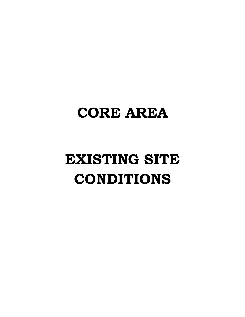## **CORE AREA**

# **EXISTING SITE CONDITIONS**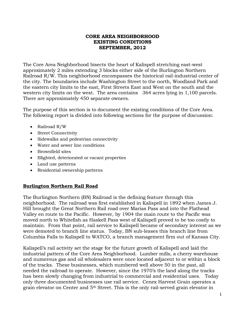#### **CORE AREA NEIGHBORHOOD EXISTING CONDITIONS SEPTEMBER, 2012**

The Core Area Neighborhood bisects the heart of Kalispell stretching east-west approximately 2 miles extending 3 blocks either side of the Burlington Northern Railroad R/W. This neighborhood encompasses the historical rail-industrial center of the city. The boundaries include Washington Street to the north, Woodland Park and the eastern city limits to the east, First Streets East and West on the south and the western city limits on the west. The area contains 364 acres lying in 1,100 parcels. There are approximately 450 separate owners.

The purpose of this section is to document the existing conditions of the Core Area. The following report is divided into following sections for the purpose of discussion:

- Railroad R/W
- Street Connectivity
- Sidewalks and pedestrian connectivity
- Water and sewer line conditions
- Brownfield sites
- Blighted, deteriorated or vacant properties
- Land use patterns
- Residential ownership patterns

### **Burlington Northern Rail Road**

The Burlington Northern (BN) Railroad is the defining feature through this neighborhood. The railroad was first established in Kalispell in 1892 when James J. Hill brought the Great Northern Rail road over Marias Pass and into the Flathead Valley en route to the Pacific. However, by 1904 the main route to the Pacific was moved north to Whitefish as Haskell Pass west of Kalispell proved to be too costly to maintain. From that point, rail service to Kalispell became of secondary interest as we were demoted to branch line status. Today, BN sub-leases this branch line from Columbia Falls to Kalispell to WATCO, a branch management firm out of Kansas City.

Kalispell's rail activity set the stage for the future growth of Kalispell and laid the industrial pattern of the Core Area Neighborhood. Lumber mills, a cherry warehouse and numerous gas and oil wholesalers were once located adjacent to or within a block of the tracks. These businesses, which numbered well above 50 in the past, all needed the railroad to operate. However, since the 1970's the land along the tracks has been slowly changing from industrial to commercial and residential uses. Today only three documented businesses use rail service. Cenex Harvest Grain operates a grain elevator on Center and 5th Street. This is the only rail-served grain elevator in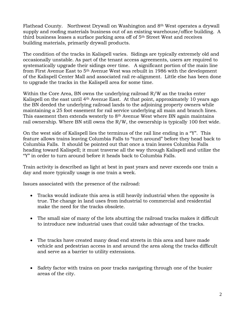Flathead County. Northwest Drywall on Washington and 8th West operates a drywall supply and roofing materials business out of an existing warehouse/office building. A third business leases a surface parking area off of 5th Street West and receives building materials, primarily drywall products.

The condition of the tracks in Kalispell varies. Sidings are typically extremely old and occasionally unstable. As part of the tenant access agreements, users are required to systematically upgrade their sidings over time. A significant portion of the main line from First Avenue East to 5th Avenue West was rebuilt in 1986 with the development of the Kalispell Center Mall and associated rail re-alignment. Little else has been done to upgrade the tracks in the Kalispell area for some time.

Within the Core Area, BN owns the underlying railroad R/W as the tracks enter Kalispell on the east until 4<sup>th</sup> Avenue East. At that point, approximately 10 years ago the BN deeded the underlying railroad lands to the adjoining property owners while maintaining a 25 foot easement for rail service underlying all main and branch lines. This easement then extends westerly to  $8<sup>th</sup>$  Avenue West where BN again maintains rail ownership. Where BN still owns the R/W, the ownership is typically 100 feet wide.

On the west side of Kalispell lies the terminus of the rail line ending in a "Y". This feature allows trains leaving Columbia Falls to "turn around" before they head back to Columbia Falls. It should be pointed out that once a train leaves Columbia Falls heading toward Kalispell; it must traverse all the way through Kalispell and utilize the "Y" in order to turn around before it heads back to Columbia Falls.

Train activity is described as light at best in past years and never exceeds one train a day and more typically usage is one train a week.

Issues associated with the presence of the railroad:

- Tracks would indicate this area is still heavily industrial when the opposite is true. The change in land uses from industrial to commercial and residential make the need for the tracks obsolete.
- The small size of many of the lots abutting the railroad tracks makes it difficult to introduce new industrial uses that could take advantage of the tracks.
- The tracks have created many dead end streets in this area and have made vehicle and pedestrian access in and around the area along the tracks difficult and serve as a barrier to utility extensions.
- Safety factor with trains on poor tracks navigating through one of the busier areas of the city.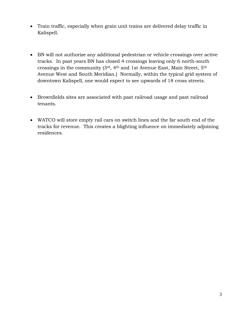- Train traffic, especially when grain unit trains are delivered delay traffic in Kalispell.
- BN will not authorize any additional pedestrian or vehicle crossings over active tracks. In past years BN has closed 4 crossings leaving only 6 north-south crossings in the community (3rd, 4th and 1st Avenue East, Main Street, 5th Avenue West and South Meridian.) Normally, within the typical grid system of downtown Kalispell, one would expect to see upwards of 18 cross streets.
- Brownfields sites are associated with past railroad usage and past railroad tenants.
- WATCO will store empty rail cars on switch lines and the far south end of the tracks for revenue. This creates a blighting influence on immediately adjoining residences.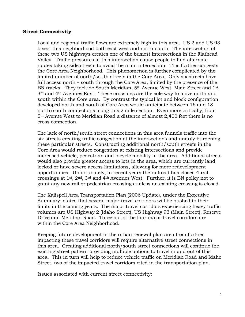#### **Street Connectivity**

Local and regional traffic flows are extremely high in this area. US 2 and US 93 bisect this neighborhood both east-west and north-south. The intersection of these two US highways creates one of the busiest intersections in the Flathead Valley. Traffic pressures at this intersection cause people to find alternate routes taking side streets to avoid the main intersection. This further congests the Core Area Neighborhood. This phenomenon is further complicated by the limited number of north/south streets in the Core Area. Only six streets have full access north – south through the Core Area, limited by the presence of the BN tracks. They include South Meridian, 5<sup>th</sup> Avenue West, Main Street and 1<sup>st</sup>, 3<sup>rd</sup> and 4<sup>th</sup> Avenues East. These crossings are the sole way to move north and south within the Core area. By contrast the typical lot and block configuration developed north and south of Core Area would anticipate between 16 and 18 north/south connections along this 2 mile section. Even more critically, from 5th Avenue West to Meridian Road a distance of almost 2,400 feet there is no cross connection.

The lack of north/south street connections in this area funnels traffic into the six streets creating traffic congestion at the intersections and unduly burdening these particular streets. Constructing additional north/south streets in the Core Area would reduce congestion at existing intersections and provide increased vehicle, pedestrian and bicycle mobility in the area. Additional streets would also provide greater access to lots in the area, which are currently land locked or have severe access limitations, allowing for more redevelopment opportunities. Unfortunately, in recent years the railroad has closed 4 rail crossings at 1st, 2nd, 3rd and 4th Avenues West. Further, it is BN policy not to grant any new rail or pedestrian crossings unless an existing crossing is closed.

The Kalispell Area Transportation Plan (2006 Update), under the Executive Summary, states that several major travel corridors will be pushed to their limits in the coming years. The major travel corridors experiencing heavy traffic volumes are US Highway 2 (Idaho Street), US Highway 93 (Main Street), Reserve Drive and Meridian Road. Three out of the four major travel corridors are within the Core Area Neighborhood.

Keeping future development in the urban renewal plan area from further impacting these travel corridors will require alternative street connections in this area. Creating additional north/south street connections will continue the existing street pattern providing multiple options to travel in and out of this area. This in turn will help to reduce vehicle traffic on Meridian Road and Idaho Street, two of the impacted travel corridors cited in the transportation plan.

Issues associated with current street connectivity: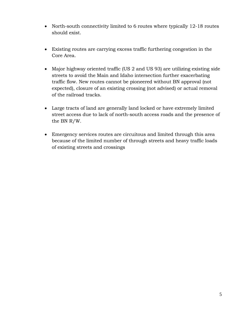- North-south connectivity limited to 6 routes where typically 12-18 routes should exist.
- Existing routes are carrying excess traffic furthering congestion in the Core Area.
- Major highway oriented traffic (US 2 and US 93) are utilizing existing side streets to avoid the Main and Idaho intersection further exacerbating traffic flow. New routes cannot be pioneered without BN approval (not expected), closure of an existing crossing (not advised) or actual removal of the railroad tracks.
- Large tracts of land are generally land locked or have extremely limited street access due to lack of north-south access roads and the presence of the BN R/W.
- Emergency services routes are circuitous and limited through this area because of the limited number of through streets and heavy traffic loads of existing streets and crossings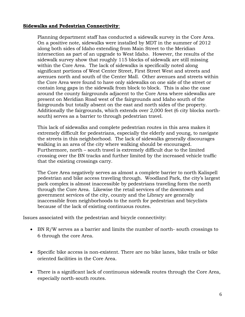#### **Sidewalks and Pedestrian Connectivity**:

Planning department staff has conducted a sidewalk survey in the Core Area. On a positive note, sidewalks were installed by MDT in the summer of 2012 along both sides of Idaho extending from Main Street to the Meridian intersection as part of an upgrade to West Idaho. However, the results of the sidewalk survey show that roughly 115 blocks of sidewalk are still missing within the Core Area. The lack of sidewalks is specifically noted along significant portions of West Center Street, First Street West and streets and avenues north and south of the Center Mall. Other avenues and streets within the Core Area were found to have only sidewalks on one side of the street or contain long gaps in the sidewalk from block to block. This is also the case around the county fairgrounds adjacent to the Core Area where sidewalks are present on Meridian Road west of the fairgrounds and Idaho south of the fairgrounds but totally absent on the east and north sides of the property. Additionally the fairgrounds, which extends over 2,000 feet (6 city blocks northsouth) serves as a barrier to through pedestrian travel.

This lack of sidewalks and complete pedestrian routes in this area makes it extremely difficult for pedestrians, especially the elderly and young, to navigate the streets in this neighborhood. The lack of sidewalks generally discourages walking in an area of the city where walking should be encouraged. Furthermore, north – south travel is extremely difficult due to the limited crossing over the BN tracks and further limited by the increased vehicle traffic that the existing crossings carry.

The Core Area negatively serves as almost a complete barrier to north Kalispell pedestrian and bike access traveling through. Woodland Park, the city's largest park complex is almost inaccessible by pedestrians traveling form the north through the Core Area. Likewise the retail services of the downtown and government services of the city, county and the Library are generally inaccessible from neighborhoods to the north for pedestrian and bicyclists because of the lack of existing continuous routes.

Issues associated with the pedestrian and bicycle connectivity:

- BN R/W serves as a barrier and limits the number of north- south crossings to 6 through the core Area.
- Specific bike access is non-existent. There are no bike lanes, bike trails or bike oriented facilities in the Core Area.
- There is a significant lack of continuous sidewalk routes through the Core Area, especially north-south routes.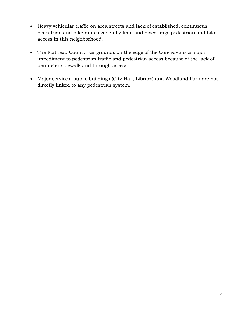- Heavy vehicular traffic on area streets and lack of established, continuous pedestrian and bike routes generally limit and discourage pedestrian and bike access in this neighborhood.
- The Flathead County Fairgrounds on the edge of the Core Area is a major impediment to pedestrian traffic and pedestrian access because of the lack of perimeter sidewalk and through access.
- Major services, public buildings (City Hall, Library) and Woodland Park are not directly linked to any pedestrian system.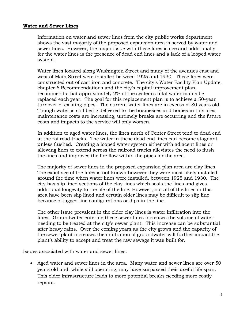#### **Water and Sewer Lines**

Information on water and sewer lines from the city public works department shows the vast majority of the proposed expansion area is served by water and sewer lines. However, the major issue with these lines is age and additionally for the water lines is the presence of dead end lines and a lack of a looped water system.

Water lines located along Washington Street and many of the avenues east and west of Main Street were installed between 1925 and 1930. These lines were constructed out of cast iron and concrete. The city's Water Facility Plan Update, chapter 6 Recommendations and the city's capital improvement plan, recommends that approximately 2% of the system's total water mains be replaced each year. The goal for this replacement plan is to achieve a 50-year turnover of existing pipes. The current water lines are in excess of 80 years old. Though water is still being delivered to the businesses and homes in this area maintenance costs are increasing, untimely breaks are occurring and the future costs and impacts to the service will only worsen.

In addition to aged water lines, the lines north of Center Street tend to dead end at the railroad tracks. The water in these dead end lines can become stagnant unless flushed. Creating a looped water system either with adjacent lines or allowing lines to extend across the railroad tracks alleviates the need to flush the lines and improves the fire flow within the pipes for the area.

The majority of sewer lines in the proposed expansion plan area are clay lines. The exact age of the lines is not known however they were most likely installed around the time when water lines were installed, between 1925 and 1930. The city has slip lined sections of the clay lines which seals the lines and gives additional longevity to the life of the line. However, not all of the lines in this area have been slip lined and certain older lines may be difficult to slip line because of jagged line configurations or dips in the line.

The other issue prevalent in the older clay lines is water infiltration into the lines. Groundwater entering these sewer lines increases the volume of water needing to be treated at the city's sewer plant. This increase can be substantial after heavy rains. Over the coming years as the city grows and the capacity of the sewer plant increases the infiltration of groundwater will further impact the plant's ability to accept and treat the raw sewage it was built for.

Issues associated with water and sewer lines:

 Aged water and sewer lines in the area. Many water and sewer lines are over 50 years old and, while still operating, may have surpassed their useful life span. This older infrastructure leads to more potential breaks needing more costly repairs.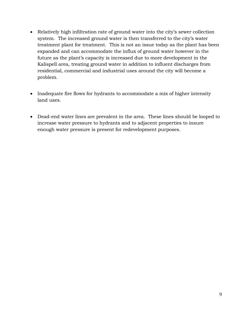- Relatively high infiltration rate of ground water into the city's sewer collection system. The increased ground water is then transferred to the city's water treatment plant for treatment. This is not an issue today as the plant has been expanded and can accommodate the influx of ground water however in the future as the plant's capacity is increased due to more development in the Kalispell area, treating ground water in addition to influent discharges from residential, commercial and industrial uses around the city will become a problem.
- Inadequate fire flows for hydrants to accommodate a mix of higher intensity land uses.
- Dead-end water lines are prevalent in the area. These lines should be looped to increase water pressure to hydrants and to adjacent properties to insure enough water pressure is present for redevelopment purposes.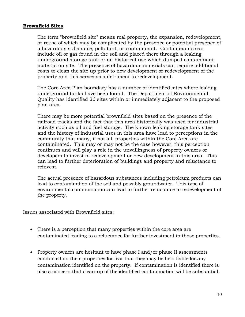#### **Brownfield Sites**

The term "brownfield site" means real property, the expansion, redevelopment, or reuse of which may be complicated by the presence or potential presence of a hazardous substance, pollutant, or contaminant. Contaminants can include oil or gas found in the soil and placed there through a leaking underground storage tank or an historical use which dumped contaminant material on site. The presence of hazardous materials can require additional costs to clean the site up prior to new development or redevelopment of the property and this serves as a detriment to redevelopment.

The Core Area Plan boundary has a number of identified sites where leaking underground tanks have been found. The Department of Environmental Quality has identified 26 sites within or immediately adjacent to the proposed plan area.

There may be more potential brownfield sites based on the presence of the railroad tracks and the fact that this area historically was used for industrial activity such as oil and fuel storage. The known leaking storage tank sites and the history of industrial uses in this area have lead to perceptions in the community that many, if not all, properties within the Core Area are contaminated. This may or may not be the case however, this perception continues and will play a role in the unwillingness of property owners or developers to invest in redevelopment or new development in this area. This can lead to further deterioration of buildings and property and reluctance to reinvest.

The actual presence of hazardous substances including petroleum products can lead to contamination of the soil and possibly groundwater. This type of environmental contamination can lead to further reluctance to redevelopment of the property.

Issues associated with Brownfield sites:

- There is a perception that many properties within the core area are contaminated leading to a reluctance for further investment in those properties.
- Property owners are hesitant to have phase I and/or phase II assessments conducted on their properties for fear that they may be held liable for any contamination identified on the property. If contamination is identified there is also a concern that clean-up of the identified contamination will be substantial.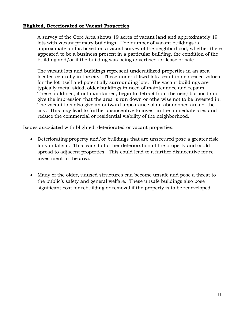#### **Blighted, Deteriorated or Vacant Properties**

A survey of the Core Area shows 19 acres of vacant land and approximately 19 lots with vacant primary buildings. The number of vacant buildings is approximate and is based on a visual survey of the neighborhood, whether there appeared to be a business present in a particular building, the condition of the building and/or if the building was being advertised for lease or sale.

The vacant lots and buildings represent underutilized properties in an area located centrally in the city. These underutilized lots result in depressed values for the lot itself and potentially surrounding lots. The vacant buildings are typically metal sided, older buildings in need of maintenance and repairs. These buildings, if not maintained, begin to detract from the neighborhood and give the impression that the area is run down or otherwise not to be invested in. The vacant lots also give an outward appearance of an abandoned area of the city. This may lead to further disincentive to invest in the immediate area and reduce the commercial or residential viability of the neighborhood.

Issues associated with blighted, deteriorated or vacant properties:

- Deteriorating property and/or buildings that are unsecured pose a greater risk for vandalism. This leads to further deterioration of the property and could spread to adjacent properties. This could lead to a further disincentive for reinvestment in the area.
- Many of the older, unused structures can become unsafe and pose a threat to the public's safety and general welfare. These unsafe buildings also pose significant cost for rebuilding or removal if the property is to be redeveloped.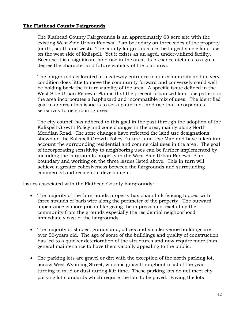#### **The Flathead County Fairgrounds**

The Flathead County Fairgrounds is an approximately 63 acre site with the existing West Side Urban Renewal Plan boundary on three sides of the property (north, south and west). The county fairgrounds are the largest single land use on the west side of Kalispell. Yet it exists as an aged, under-utilized facility. Because it is a significant land use in the area, its presence dictates to a great degree the character and future viability of the plan area.

The fairgrounds is located at a gateway entrance to our community and its very condition does little to move the community forward and conversely could well be holding back the future viability of the area. A specific issue defined in the West Side Urban Renewal Plan is that the present urbanized land use pattern in the area incorporates a haphazard and incompatible mix of uses. The identified goal to address this issue is to set a pattern of land use that incorporates sensitivity to neighboring uses.

The city council has adhered to this goal in the past through the adoption of the Kalispell Growth Policy and zone changes in the area, mainly along North Meridian Road. The zone changes have reflected the land use designations shown on the Kalispell Growth Policy Future Land Use Map and have taken into account the surrounding residential and commercial uses in the area. The goal of incorporating sensitivity to neighboring uses can be further implemented by including the fairgrounds property in the West Side Urban Renewal Plan boundary and working on the three issues listed above. This in turn will achieve a greater cohesiveness between the fairgrounds and surrounding commercial and residential development.

Issues associated with the Flathead County Fairgrounds:

- The majority of the fairgrounds property has chain link fencing topped with three strands of barb wire along the perimeter of the property. The outward appearance is more prison like giving the impression of excluding the community from the grounds especially the residential neighborhood immediately east of the fairgrounds.
- The majority of stables, grandstand, offices and smaller venue buildings are over 50-years old. The age of some of the buildings and quality of construction has led to a quicker deterioration of the structures and now require more than general maintenance to have them visually appealing to the public.
- The parking lots are gravel or dirt with the exception of the north parking lot, across West Wyoming Street, which is grass throughout most of the year turning to mud or dust during fair time. These parking lots do not meet city parking lot standards which require the lots to be paved. Paving the lots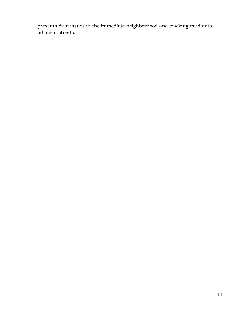prevents dust issues in the immediate neighborhood and tracking mud onto adjacent streets.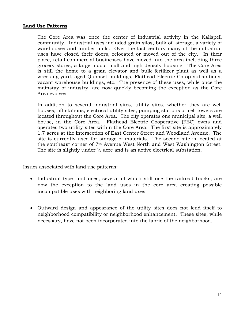#### **Land Use Patterns**

The Core Area was once the center of industrial activity in the Kalispell community. Industrial uses included grain silos, bulk oil storage, a variety of warehouses and lumber mills. Over the last century many of the industrial uses have closed their doors, relocated or moved out of the city. In their place, retail commercial businesses have moved into the area including three grocery stores, a large indoor mall and high density housing. The Core Area is still the home to a grain elevator and bulk fertilizer plant as well as a wrecking yard, aged Quonset buildings, Flathead Electric Co-op substations, vacant warehouse buildings, etc. The presence of these uses, while once the mainstay of industry, are now quickly becoming the exception as the Core Area evolves.

In addition to several industrial sites, utility sites, whether they are well houses, lift stations, electrical utility sites, pumping stations or cell towers are located throughout the Core Area. The city operates one municipal site, a well house, in the Core Area. Flathead Electric Cooperative (FEC) owns and operates two utility sites within the Core Area. The first site is approximately 1.7 acres at the intersection of East Center Street and Woodland Avenue. The site is currently used for storage of materials. The second site is located at the southeast corner of 7th Avenue West North and West Washington Street. The site is slightly under ½ acre and is an active electrical substation.

Issues associated with land use patterns:

- Industrial type land uses, several of which still use the railroad tracks, are now the exception to the land uses in the core area creating possible incompatible uses with neighboring land uses.
- Outward design and appearance of the utility sites does not lend itself to neighborhood compatibility or neighborhood enhancement. These sites, while necessary, have not been incorporated into the fabric of the neighborhood.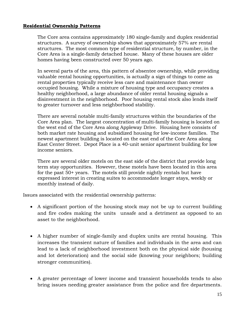#### **Residential Ownership Patterns**

The Core area contains approximately 180 single-family and duplex residential structures. A survey of ownership shows that approximately 57% are rental structures. The most common type of residential structure, by number, in the Core Area is a single-family detached house. Many of these houses are older homes having been constructed over 50 years ago.

In several parts of the area, this pattern of absentee ownership, while providing valuable rental housing opportunities, is actually a sign of things to come as rental properties typically receive less care and maintenance than owner occupied housing. While a mixture of housing type and occupancy creates a healthy neighborhood, a large abundance of older rental housing signals a disinvestment in the neighborhood. Poor housing rental stock also lends itself to greater turnover and less neighborhood stability.

There are several notable multi-family structures within the boundaries of the Core Area plan. The largest concentration of multi-family housing is located on the west end of the Core Area along Appleway Drive. Housing here consists of both market rate housing and subsidized housing for low-income families. The newest apartment building is located on the east end of the Core Area along East Center Street. Depot Place is a 40-unit senior apartment building for low income seniors.

There are several older motels on the east side of the district that provide long term stay opportunities. However, these motels have been located in this area for the past 50+ years. The motels still provide nightly rentals but have expressed interest in creating suites to accommodate longer stays, weekly or monthly instead of daily.

Issues associated with the residential ownership patterns:

- A significant portion of the housing stock may not be up to current building and fire codes making the units unsafe and a detriment as opposed to an asset to the neighborhood.
- A higher number of single-family and duplex units are rental housing. This increases the transient nature of families and individuals in the area and can lead to a lack of neighborhood investment both on the physical side (housing and lot deterioration) and the social side (knowing your neighbors; building stronger communities).
- A greater percentage of lower income and transient households tends to also bring issues needing greater assistance from the police and fire departments.